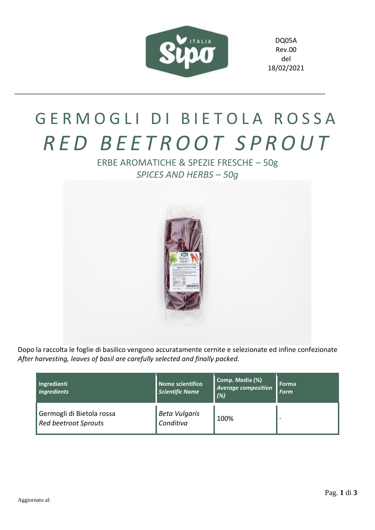

DQ05A Rev.00 del 18/02/2021

## GERMOGLI DI BIETOLA ROSSA *R E D B E E T R O O T S P R O U T*

ERBE AROMATICHE & SPEZIE FRESCHE – 50g *SPICES AND HERBS – 50g*



Dopo la raccolta le foglie di basilico vengono accuratamente cernite e selezionate ed infine confezionate *After harvesting, leaves of basil are carefully selected and finally packed.*

| Ingredienti<br><b>Ingredients</b>                 | Nome scientifico<br>Scientific Name | Comp. Media (%)<br><b>Average composition</b><br>(%) | <b>Forma</b><br><b>Form</b> |
|---------------------------------------------------|-------------------------------------|------------------------------------------------------|-----------------------------|
| Germogli di Bietola rossa<br>Red beetroot Sprouts | <b>Beta Vulgaris</b><br>Conditiva   | 100%                                                 |                             |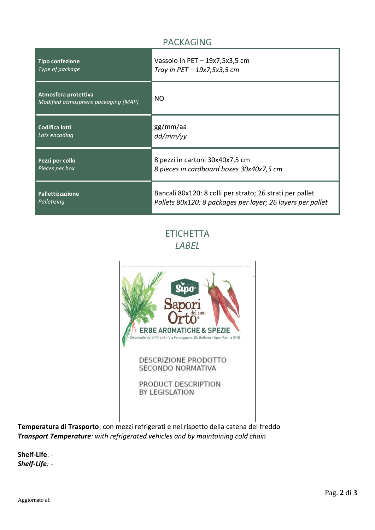## PACKAGING

| <b>Tipo confezione</b>                                      | Vassoio in PET - 19x7,5x3,5 cm                             |  |
|-------------------------------------------------------------|------------------------------------------------------------|--|
| Type of package                                             | Tray in $PET-19x7,5x3,5$ cm                                |  |
| Atmosfera protettiva<br>Modified atmosphere packaging (MAP) | <b>NO</b>                                                  |  |
| Codifica lotti                                              | gg/mm/aa                                                   |  |
| Lots encoding                                               | dd/mm/yy                                                   |  |
| Pezzi per collo                                             | 8 pezzi in cartoni 30x40x7,5 cm                            |  |
| Pieces per box                                              | 8 pieces in cardboard boxes 30x40x7,5 cm                   |  |
| <b>Pallettizzazione</b>                                     | Bancali 80x120: 8 colli per strato; 26 strati per pallet   |  |
| Palletizing                                                 | Pallets 80x120: 8 packages per layer; 26 layers per pallet |  |

**ETICHETTA** *LABEL*



**Temperatura di Trasporto**: con mezzi refrigerati e nel rispetto della catena del freddo *Transport Temperature: with refrigerated vehicles and by maintaining cold chain*

**Shelf-Life**: - *Shelf-Life: -*